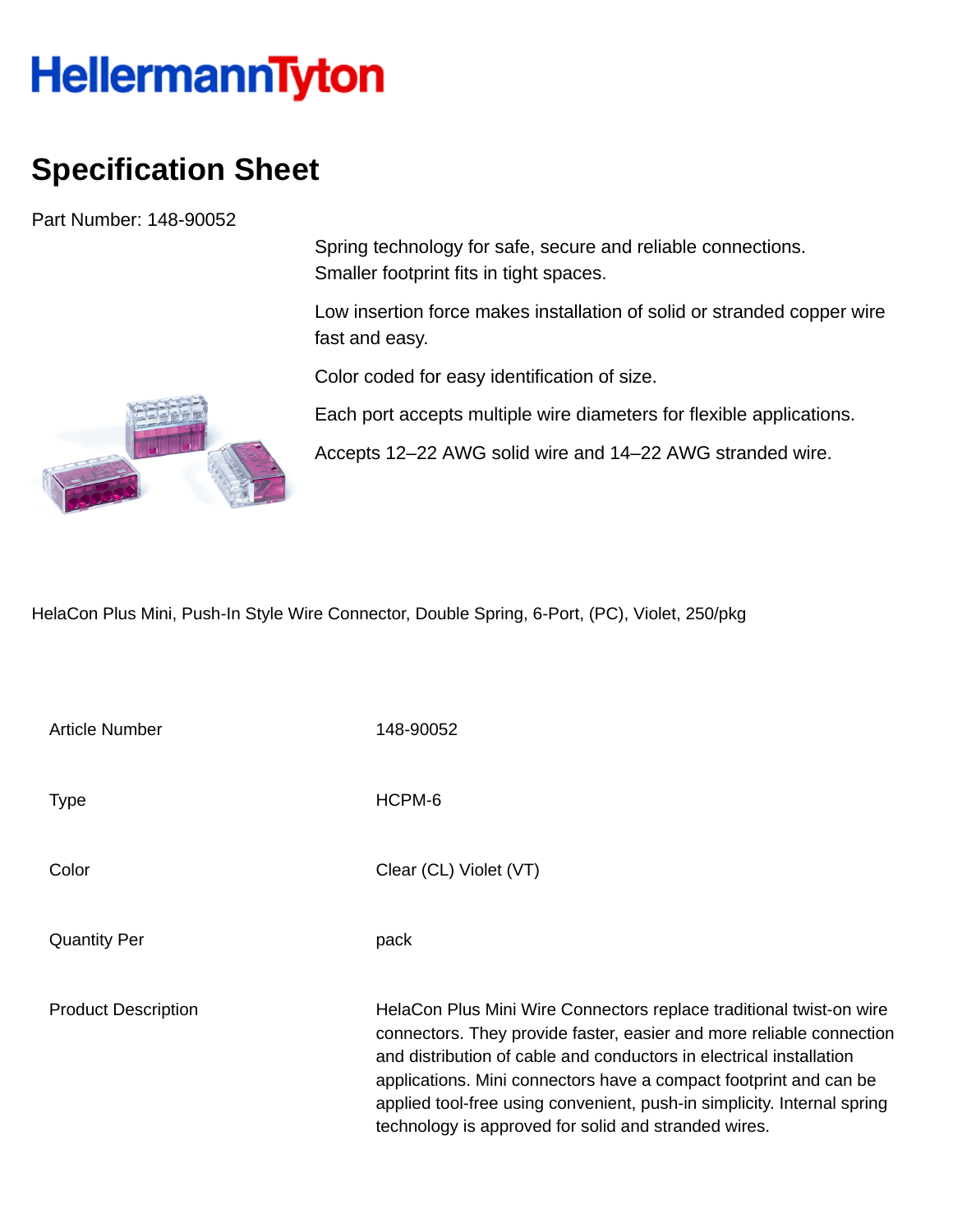## **HellermannTyton**

## **Specification Sheet**

Part Number: 148-90052

Spring technology for safe, secure and reliable connections. Smaller footprint fits in tight spaces.

Low insertion force makes installation of solid or stranded copper wire fast and easy.

Color coded for easy identification of size.

Each port accepts multiple wire diameters for flexible applications.

Accepts 12–22 AWG solid wire and 14–22 AWG stranded wire.

HelaCon Plus Mini, Push-In Style Wire Connector, Double Spring, 6-Port, (PC), Violet, 250/pkg

| Article Number             | 148-90052                                                                                                                                                                                                                                                                                                                                                                                                                  |
|----------------------------|----------------------------------------------------------------------------------------------------------------------------------------------------------------------------------------------------------------------------------------------------------------------------------------------------------------------------------------------------------------------------------------------------------------------------|
| <b>Type</b>                | HCPM-6                                                                                                                                                                                                                                                                                                                                                                                                                     |
| Color                      | Clear (CL) Violet (VT)                                                                                                                                                                                                                                                                                                                                                                                                     |
| <b>Quantity Per</b>        | pack                                                                                                                                                                                                                                                                                                                                                                                                                       |
| <b>Product Description</b> | HelaCon Plus Mini Wire Connectors replace traditional twist-on wire<br>connectors. They provide faster, easier and more reliable connection<br>and distribution of cable and conductors in electrical installation<br>applications. Mini connectors have a compact footprint and can be<br>applied tool-free using convenient, push-in simplicity. Internal spring<br>technology is approved for solid and stranded wires. |

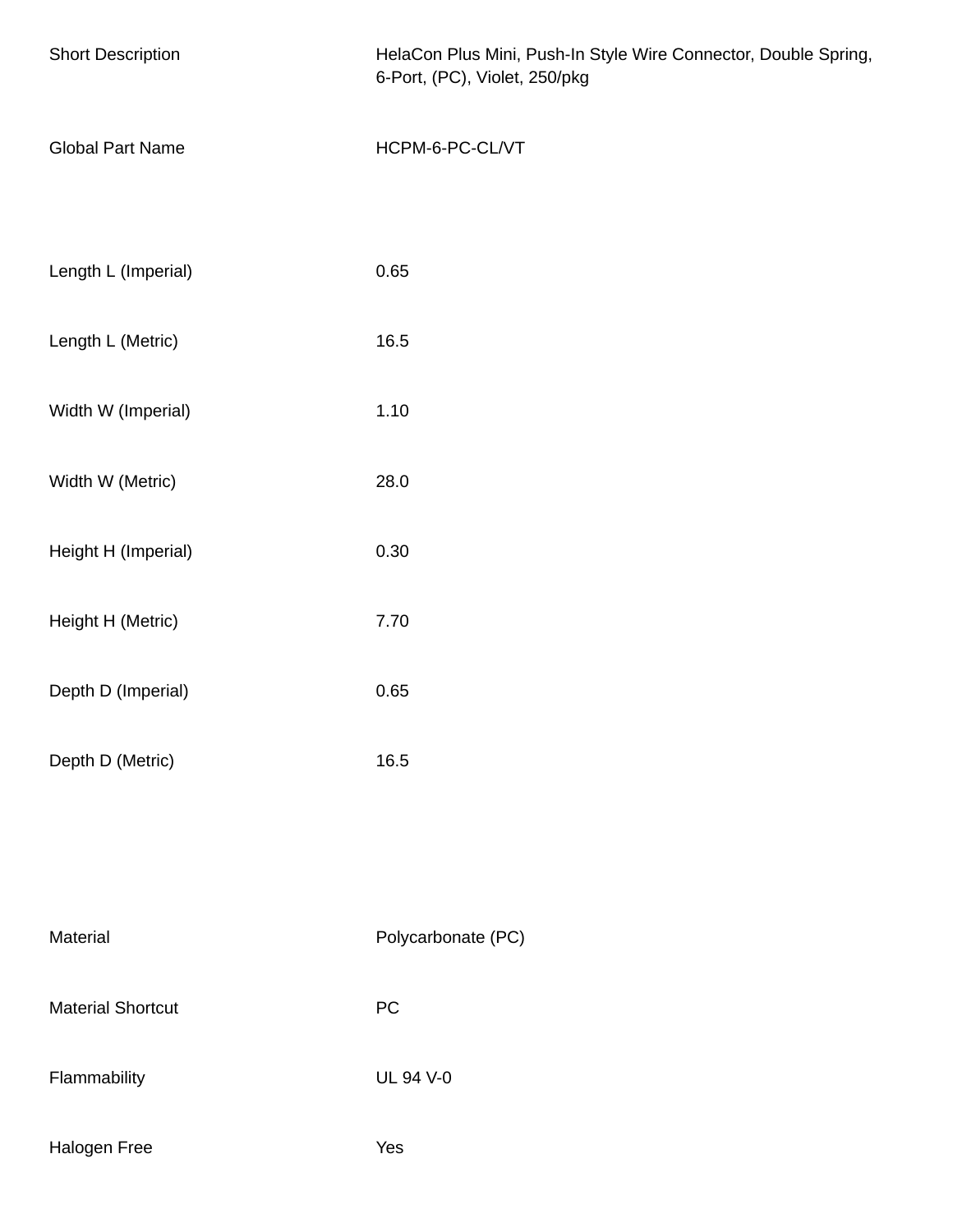| <b>Short Description</b> | HelaCon Plus Mini, Push-In Style Wire Connector, Double Spring,<br>6-Port, (PC), Violet, 250/pkg |  |  |  |
|--------------------------|--------------------------------------------------------------------------------------------------|--|--|--|
| <b>Global Part Name</b>  | HCPM-6-PC-CL/VT                                                                                  |  |  |  |
| Length L (Imperial)      | 0.65                                                                                             |  |  |  |
| Length L (Metric)        | 16.5                                                                                             |  |  |  |
| Width W (Imperial)       | 1.10                                                                                             |  |  |  |
| Width W (Metric)         | 28.0                                                                                             |  |  |  |
| Height H (Imperial)      | 0.30                                                                                             |  |  |  |
| Height H (Metric)        | 7.70                                                                                             |  |  |  |
| Depth D (Imperial)       | 0.65                                                                                             |  |  |  |
| Depth D (Metric)         | 16.5                                                                                             |  |  |  |
|                          |                                                                                                  |  |  |  |
| Material                 | Polycarbonate (PC)                                                                               |  |  |  |
| <b>Material Shortcut</b> | ${\sf PC}$                                                                                       |  |  |  |
| Flammability             | <b>UL 94 V-0</b>                                                                                 |  |  |  |
| Halogen Free             | Yes                                                                                              |  |  |  |